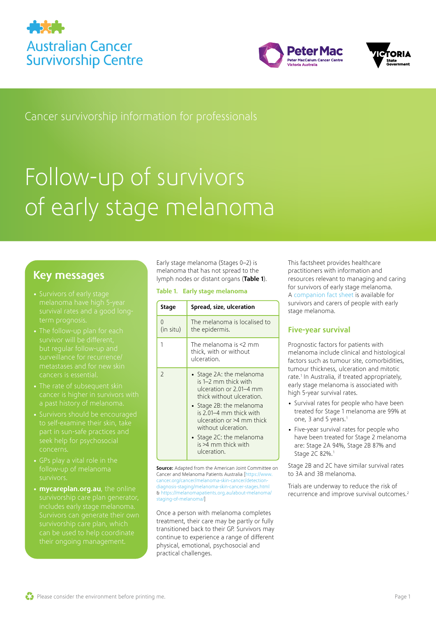





Cancer survivorship information for professionals

# Follow-up of survivors of early stage melanoma

### Key messages

- melanoma have high 5-year
- 
- 
- 
- 
- **[mycareplan.org.au](http://mycareplan.org.au)**, the online can be used to help coordinate

Early stage melanoma (Stages 0–2) is melanoma that has not spread to the lymph nodes or distant organs ([Table 1](#page-0-0)).

#### <span id="page-0-0"></span>Table 1. Early stage melanoma

| Stage                 | Spread, size, ulceration                                                                                                                                                                                                                                                              |  |
|-----------------------|---------------------------------------------------------------------------------------------------------------------------------------------------------------------------------------------------------------------------------------------------------------------------------------|--|
| $\Omega$<br>(in situ) | The melanoma is localised to<br>the epidermis.                                                                                                                                                                                                                                        |  |
| 1                     | The melanoma is $\leq 2$ mm<br>thick, with or without<br>ulceration.                                                                                                                                                                                                                  |  |
| $\overline{2}$        | • Stage 2A: the melanoma<br>is 1–2 mm thick with<br>ulceration or 2.01–4 mm<br>thick without ulceration.<br>• Stage 2B: the melanoma<br>is 2.01–4 mm thick with<br>ulceration or >4 mm thick<br>without ulceration.<br>• Stage 2C: the melanoma<br>is >4 mm thick with<br>ulceration. |  |

**Source:** Adapted from the American Joint Committee on Cancer and Melanoma Patients Australia [\[https://www.](https://www.cancer.org/cancer/melanoma-skin-cancer/detection-diagnosis-staging/melanoma-skin-cancer-stages.html) [cancer.org/cancer/melanoma-skin-cancer/detection](https://www.cancer.org/cancer/melanoma-skin-cancer/detection-diagnosis-staging/melanoma-skin-cancer-stages.html)[diagnosis-staging/melanoma-skin-cancer-stages.html](https://www.cancer.org/cancer/melanoma-skin-cancer/detection-diagnosis-staging/melanoma-skin-cancer-stages.html) & [https://melanomapatients.org.au/about-melanoma/](https://melanomapatients.org.au/about-melanoma/staging-of-melanoma/) [staging-of-melanoma/\]](https://melanomapatients.org.au/about-melanoma/staging-of-melanoma/)

Once a person with melanoma completes treatment, their care may be partly or fully transitioned back to their GP. Survivors may continue to experience a range of different physical, emotional, psychosocial and practical challenges.

This factsheet provides healthcare practitioners with information and resources relevant to managing and caring for survivors of early stage melanoma. A [companion fact sheet](https://www.petermac.org/sites/default/files/media-uploads/CONSUMER%20melanoma%20fact%20sheet%20template-2021-V7-WEB.pdf) is available for survivors and carers of people with early stage melanoma.

### Five-year survival

Prognostic factors for patients with melanoma include clinical and histological factors such as tumour site, comorbidities, tumour thickness, ulceration and mitotic rate.<sup>[1](#page-4-0)</sup> In Australia, if treated appropriately, early stage melanoma is associated with high 5-year survival rates.

- Survival rates for people who have been treated for Stage 1 melanoma are 99% at one, 3 and 5 years.<sup>[1](#page-4-0)</sup>
- Five-year survival rates for people who have been treated for Stage 2 melanoma are: Stage 2A 94%, Stage 2B 87% and Stage 2C 82%.<sup>[1](#page-4-0)</sup>

Stage 2B and 2C have similar survival rates to 3A and 3B melanoma.

Trials are underway to reduce the risk of recurrence and improve survival outcomes.[2](#page-4-1)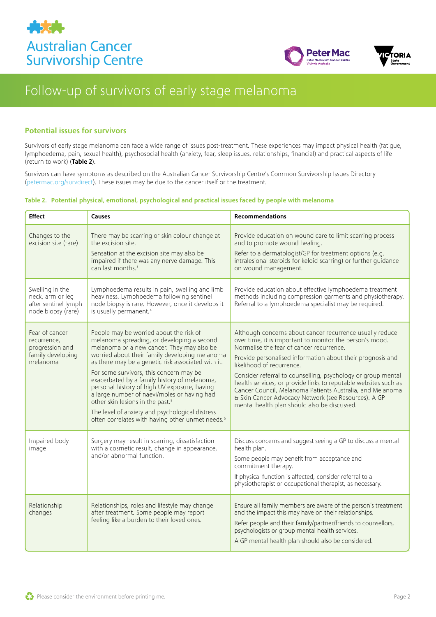





#### Potential issues for survivors

Survivors of early stage melanoma can face a wide range of issues post-treatment. These experiences may impact physical health (fatigue, lymphoedema, pain, sexual health), psychosocial health (anxiety, fear, sleep issues, relationships, financial) and practical aspects of life (return to work) ([Table 2](#page-1-0)).

Survivors can have symptoms as described on the Australian Cancer Survivorship Centre's Common Survivorship Issues Directory ([petermac.org/survdirect\)](http://petermac.org/survdirect). These issues may be due to the cancer itself or the treatment.

#### <span id="page-1-0"></span>Table 2. Potential physical, emotional, psychological and practical issues faced by people with melanoma

| <b>Effect</b>                                                                     | <b>Causes</b>                                                                                                                                                                                                                                                                                                                                                                                                                                                                                                                                                                                            | <b>Recommendations</b>                                                                                                                                                                                                                                                                                                                                                                                                                                                                                                                                              |
|-----------------------------------------------------------------------------------|----------------------------------------------------------------------------------------------------------------------------------------------------------------------------------------------------------------------------------------------------------------------------------------------------------------------------------------------------------------------------------------------------------------------------------------------------------------------------------------------------------------------------------------------------------------------------------------------------------|---------------------------------------------------------------------------------------------------------------------------------------------------------------------------------------------------------------------------------------------------------------------------------------------------------------------------------------------------------------------------------------------------------------------------------------------------------------------------------------------------------------------------------------------------------------------|
| Changes to the<br>excision site (rare)                                            | There may be scarring or skin colour change at<br>the excision site.<br>Sensation at the excision site may also be<br>impaired if there was any nerve damage. This<br>can last months. <sup>3</sup>                                                                                                                                                                                                                                                                                                                                                                                                      | Provide education on wound care to limit scarring process<br>and to promote wound healing.<br>Refer to a dermatologist/GP for treatment options (e.g.<br>intralesional steroids for keloid scarring) or further guidance<br>on wound management.                                                                                                                                                                                                                                                                                                                    |
| Swelling in the<br>neck, arm or leg<br>after sentinel lymph<br>node biopsy (rare) | Lymphoedema results in pain, swelling and limb<br>heaviness. Lymphoedema following sentinel<br>node biopsy is rare. However, once it develops it<br>is usually permanent. <sup>4</sup>                                                                                                                                                                                                                                                                                                                                                                                                                   | Provide education about effective lymphoedema treatment<br>methods including compression garments and physiotherapy.<br>Referral to a lymphoedema specialist may be required.                                                                                                                                                                                                                                                                                                                                                                                       |
| Fear of cancer<br>recurrence,<br>progression and<br>family developing<br>melanoma | People may be worried about the risk of<br>melanoma spreading, or developing a second<br>melanoma or a new cancer. They may also be<br>worried about their family developing melanoma<br>as there may be a genetic risk associated with it.<br>For some survivors, this concern may be<br>exacerbated by a family history of melanoma,<br>personal history of high UV exposure, having<br>a large number of naevi/moles or having had<br>other skin lesions in the past. <sup>5</sup><br>The level of anxiety and psychological distress<br>often correlates with having other unmet needs. <sup>6</sup> | Although concerns about cancer recurrence usually reduce<br>over time, it is important to monitor the person's mood.<br>Normalise the fear of cancer recurrence.<br>Provide personalised information about their prognosis and<br>likelihood of recurrence.<br>Consider referral to counselling, psychology or group mental<br>health services, or provide links to reputable websites such as<br>Cancer Council, Melanoma Patients Australia, and Melanoma<br>& Skin Cancer Advocacy Network (see Resources). A GP<br>mental health plan should also be discussed. |
| Impaired body<br>image                                                            | Surgery may result in scarring, dissatisfaction<br>with a cosmetic result, change in appearance,<br>and/or abnormal function.                                                                                                                                                                                                                                                                                                                                                                                                                                                                            | Discuss concerns and suggest seeing a GP to discuss a mental<br>health plan.<br>Some people may benefit from acceptance and<br>commitment therapy.<br>If physical function is affected, consider referral to a<br>physiotherapist or occupational therapist, as necessary.                                                                                                                                                                                                                                                                                          |
| Relationship<br>changes                                                           | Relationships, roles and lifestyle may change<br>after treatment. Some people may report<br>feeling like a burden to their loved ones.                                                                                                                                                                                                                                                                                                                                                                                                                                                                   | Ensure all family members are aware of the person's treatment<br>and the impact this may have on their relationships.<br>Refer people and their family/partner/friends to counsellors,<br>psychologists or group mental health services.<br>A GP mental health plan should also be considered.                                                                                                                                                                                                                                                                      |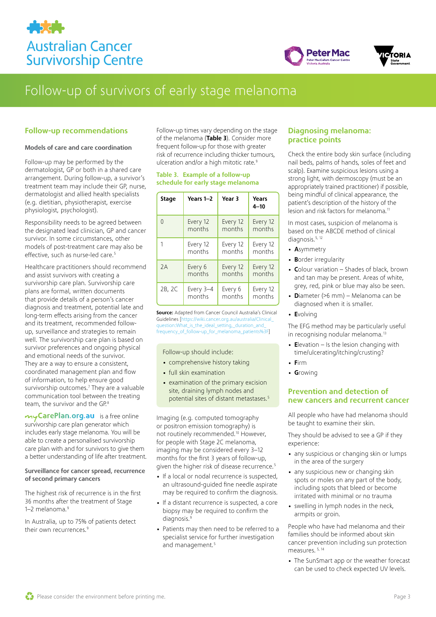





#### Follow-up recommendations

#### Models of care and care coordination

Follow-up may be performed by the dermatologist, GP or both in a shared care arrangement. During follow-up, a survivor's treatment team may include their GP, nurse, dermatologist and allied health specialists (e.g. dietitian, physiotherapist, exercise physiologist, psychologist).

Responsibility needs to be agreed between the designated lead clinician, GP and cancer survivor. In some circumstances, other models of post-treatment care may also be effective, such as nurse-led care.<sup>[5](#page-4-4)</sup>

Healthcare practitioners should recommend and assist survivors with creating a survivorship care plan. Survivorship care plans are formal, written documents that provide details of a person's cancer diagnosis and treatment, potential late and long-term effects arising from the cancer and its treatment, recommended followup, surveillance and strategies to remain well. The survivorship care plan is based on survivor preferences and ongoing physical and emotional needs of the survivor. They are a way to ensure a consistent, coordinated management plan and flow of information, to help ensure good survivorship outcomes.[7](#page-4-6) They are a valuable communication tool between the treating team, the survivor and the GP.<sup>8</sup>

my CarePlan.org.au is a free online [survivorship care plan gene](http://mycareplan.org.au)rator which includes early stage melanoma. You will be able to create a personalised survivorship care plan with and for survivors to give them a better understanding of life after treatment.

#### Surveillance for cancer spread, recurrence of second primary cancers

The highest risk of recurrence is in the first 36 months after the treatment of Stage 1–2 melanoma. $9$ 

In Australia, up to 75% of patients detect their own recurrences.<sup>[9](#page-4-8)</sup>

Follow-up times vary depending on the stage of the melanoma ([Table 3](#page-2-0)). Consider more frequent follow-up for those with greater risk of recurrence including thicker tumours, ulceration and/or a high mitotic rate.<sup>9</sup>

#### <span id="page-2-0"></span>Table 3. Example of a follow-up schedule for early stage melanoma

| <b>Stage</b> | Years 1-2 | Year 3   | <b>Years</b><br>$4 - 10$ |
|--------------|-----------|----------|--------------------------|
| $\Omega$     | Every 12  | Every 12 | Every 12                 |
|              | months    | months   | months                   |
| 1            | Every 12  | Every 12 | Every 12                 |
|              | months    | months   | months                   |
| 7A           | Every 6   | Every 12 | Every 12                 |
|              | months    | months   | months                   |
| 2B, 2C       | Every 3-4 | Every 6  | Every 12                 |
|              | months    | months   | months                   |

**Source:** Adapted from Cancer Council Australia's Clinical Guidelines [https://wiki.cancer.org.au/australia/Clinic [question:What\\_is\\_the\\_ideal\\_setting,\\_duration\\_and\\_](https://wiki.cancer.org.au/australia/Clinical_question:What_is_the_ideal_setting,_duration_and_frequency_of_follow-up_for_melanoma_patients%3F) [frequency\\_of\\_follow-up\\_for\\_melanoma\\_patients%3F\]](https://wiki.cancer.org.au/australia/Clinical_question:What_is_the_ideal_setting,_duration_and_frequency_of_follow-up_for_melanoma_patients%3F)

#### Follow-up should include:

- comprehensive history taking
- full skin examination
- examination of the primary excision site, draining lymph nodes and potential sites of distant metastases[.5](#page-4-4)

Imaging (e.g. computed tomography or positron emission tomography) is not routinely recommended[.10](#page-4-9) However, for people with Stage 2C melanoma, imaging may be considered every 3–12 months for the first 3 years of follow-up, given the higher risk of disease recurrence.<sup>5</sup>

- If a local or nodal recurrence is suspected, an ultrasound-guided fine needle aspirate may be required to confirm the diagnosis.
- If a distant recurrence is suspected, a core biopsy may be required to confirm the diagnosis.<sup>[9](#page-4-8)</sup>
- Patients may then need to be referred to a specialist service for further investigation and management.<sup>[5](#page-4-4)</sup>

#### Diagnosing melanoma: practice points

Check the entire body skin surface (including nail beds, palms of hands, soles of feet and scalp). Examine suspicious lesions using a strong light, with dermoscopy (must be an appropriately trained practitioner) if possible, being mindful of clinical appearance, the patient's description of the history of the lesion and risk factors for melanoma.<sup>[11](#page-4-10)</sup>

In most cases, suspicion of melanoma is based on the ABCDE method of clinical diagnosis.<sup>[5](#page-4-4), [12](#page-4-11)</sup>

- Asymmetry
- Border irregularity
- Colour variation Shades of black, brown and tan may be present. Areas of white, grey, red, pink or blue may also be seen.
- Diameter (>6 mm) Melanoma can be diagnosed when it is smaller.
- Evolving

The EFG method may be particularly useful in recognising nodular melanoma.<sup>13</sup>

- Elevation  $-$  Is the lesion changing with time/ulcerating/itching/crusting?
- Firm
- Growing

#### Prevention and detection of new cancers and recurrent cancer

All people who have had melanoma should be taught to examine their skin.

They should be advised to see a GP if they experience:

- any suspicious or changing skin or lumps in the area of the surgery
- any suspicious new or changing skin spots or moles on any part of the body, including spots that bleed or become irritated with minimal or no trauma
- swelling in lymph nodes in the neck, armpits or groin.

People who have had melanoma and their families should be informed about skin cancer prevention including sun protection measures. [5,](#page-4-4) [14](#page-4-13) 

• The SunSmart app or the weather forecast can be used to check expected UV levels.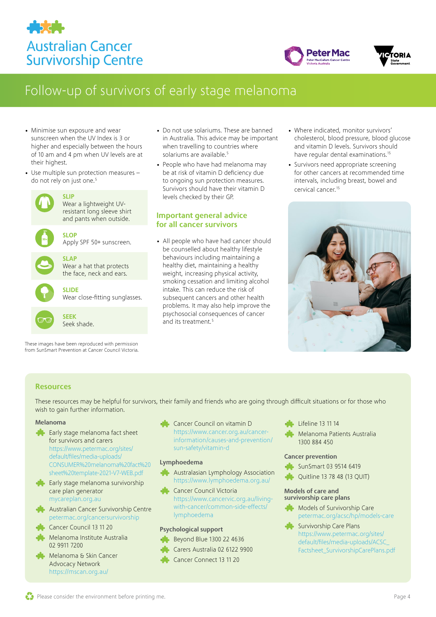





- Minimise sun exposure and wear sunscreen when the UV Index is 3 or higher and especially between the hours of 10 am and 4 pm when UV levels are at their highest.
- Use multiple sun protection measures -do not rely on just one.<sup>[5](#page-4-4)</sup>



These images have been reproduced with permission from SunSmart Prevention at Cancer Council Victoria.

- Do not use solariums. These are banned in Australia. This advice may be important when travelling to countries where solariums are available.<sup>[5](#page-4-4)</sup>
- People who have had melanoma may be at risk of vitamin D deficiency due to ongoing sun protection measures. Survivors should have their vitamin D levels checked by their GP.

#### Important general advice for all cancer survivors

• All people who have had cancer should be counselled about healthy lifestyle behaviours including maintaining a healthy diet, maintaining a healthy weight, increasing physical activity, smoking cessation and limiting alcohol intake. This can reduce the risk of subsequent cancers and other health problems. It may also help improve the psychosocial consequences of cancer and its treatment.<sup>5</sup>

- Where indicated, monitor survivors' cholesterol, blood pressure, blood glucose and vitamin D levels. Survivors should have regular dental examinations.<sup>15</sup>
- Survivors need appropriate screening for other cancers at recommended time intervals, including breast, bowel and cervical cancer[.15](#page-4-14)



#### Resources

These resources may be helpful for survivors, their family and friends who are going through difficult situations or for those who wish to gain further information.

#### Melanoma

- Early stage melanoma fact sheet for survivors and carers [https://www.petermac.org/sites/](https://www.petermac.org/sites/default/files/media-uploads/CONSUMER%20melanoma%20fact%20sheet%20template-2021-V7-WEB.pdf) [default/files/media-uploads/](https://www.petermac.org/sites/default/files/media-uploads/CONSUMER%20melanoma%20fact%20sheet%20template-2021-V7-WEB.pdf) [CONSUMER%20melanoma%20fact%20](https://www.petermac.org/sites/default/files/media-uploads/CONSUMER%20melanoma%20fact%20sheet%20template-2021-V7-WEB.pdf) [sheet%20template-2021-V7-WEB.pdf](https://www.petermac.org/sites/default/files/media-uploads/CONSUMER%20melanoma%20fact%20sheet%20template-2021-V7-WEB.pdf)
- Early stage melanoma survivorship care plan generator [mycareplan.org.au](https://www.mycareplan.org.au/)
- Australian Cancer Survivorship Centre [petermac.org/cancersurvivorship](http://petermac.org/cancersurvivorship)
- Cancer Council 13 11 20
- Melanoma Institute Australia 02 9911 7200
- Melanoma & Skin Cancer Advocacy Network <https://mscan.org.au/>

• Cancer Council on vitamin D [https://www.cancer.org.au/cancer](https://www.cancer.org.au/cancer-information/causes-and-prevention/sun-safety/vitamin-d)[information/causes-and-prevention/](https://www.cancer.org.au/cancer-information/causes-and-prevention/sun-safety/vitamin-d) [sun-safety/vitamin-d](https://www.cancer.org.au/cancer-information/causes-and-prevention/sun-safety/vitamin-d)

#### Lymphoedema

- Australasian Lymphology Association <https://www.lymphoedema.org.au/>
- Cancer Council Victoria [https://www.cancervic.org.au/living](https://www.cancervic.org.au/living-with-cancer/common-side-effects/lymphoedema)[with-cancer/common-side-effects/](https://www.cancervic.org.au/living-with-cancer/common-side-effects/lymphoedema) [lymphoedema](https://www.cancervic.org.au/living-with-cancer/common-side-effects/lymphoedema)

#### Psychological support

- Beyond Blue 1300 22 4636
- Carers Australia 02 6122 9900
- Cancer Connect 13 11 20
- Lifeline 13 11 14
- Melanoma Patients Australia 1300 884 450

#### Cancer prevention

- SunSmart 03 9514 6419
- Quitline 13 78 48 (13 QUIT)

#### Models of care and survivorship care plans

- Models of Survivorship Care [petermac.org/acsc/hp/models-care](http://petermac.org/acsc/hp/models-care)
- Survivorship Care Plans [https://www.petermac.org/sites/](https://www.petermac.org/sites/default/files/media-uploads/ACSC_Factsheet_SurvivorshipCarePlans.pdf) [default/files/media-uploads/ACSC\\_](https://www.petermac.org/sites/default/files/media-uploads/ACSC_Factsheet_SurvivorshipCarePlans.pdf) [Factsheet\\_SurvivorshipCarePlans.pdf](https://www.petermac.org/sites/default/files/media-uploads/ACSC_Factsheet_SurvivorshipCarePlans.pdf)